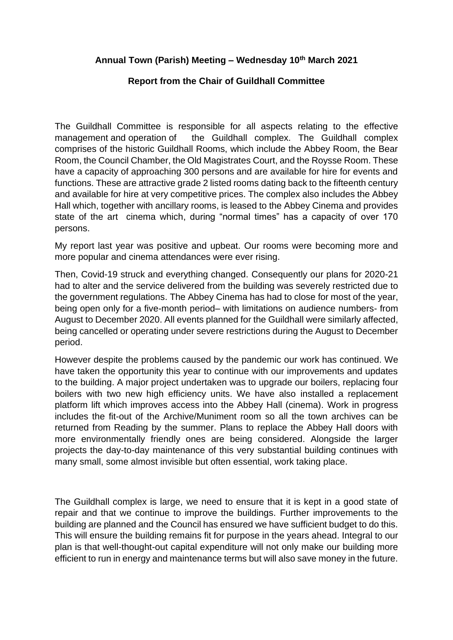## **Annual Town (Parish) Meeting – Wednesday 10th March 2021**

## **Report from the Chair of Guildhall Committee**

The Guildhall Committee is responsible for all aspects relating to the effective management and operation of the Guildhall complex. The Guildhall complex comprises of the historic Guildhall Rooms, which include the Abbey Room, the Bear Room, the Council Chamber, the Old Magistrates Court, and the Roysse Room. These have a capacity of approaching 300 persons and are available for hire for events and functions. These are attractive grade 2 listed rooms dating back to the fifteenth century and available for hire at very competitive prices. The complex also includes the Abbey Hall which, together with ancillary rooms, is leased to the Abbey Cinema and provides state of the art cinema which, during "normal times" has a capacity of over 170 persons.

My report last year was positive and upbeat. Our rooms were becoming more and more popular and cinema attendances were ever rising.

Then, Covid-19 struck and everything changed. Consequently our plans for 2020-21 had to alter and the service delivered from the building was severely restricted due to the government regulations. The Abbey Cinema has had to close for most of the year, being open only for a five-month period– with limitations on audience numbers- from August to December 2020. All events planned for the Guildhall were similarly affected, being cancelled or operating under severe restrictions during the August to December period.

However despite the problems caused by the pandemic our work has continued. We have taken the opportunity this year to continue with our improvements and updates to the building. A major project undertaken was to upgrade our boilers, replacing four boilers with two new high efficiency units. We have also installed a replacement platform lift which improves access into the Abbey Hall (cinema). Work in progress includes the fit-out of the Archive/Muniment room so all the town archives can be returned from Reading by the summer. Plans to replace the Abbey Hall doors with more environmentally friendly ones are being considered. Alongside the larger projects the day-to-day maintenance of this very substantial building continues with many small, some almost invisible but often essential, work taking place.

The Guildhall complex is large, we need to ensure that it is kept in a good state of repair and that we continue to improve the buildings. Further improvements to the building are planned and the Council has ensured we have sufficient budget to do this. This will ensure the building remains fit for purpose in the years ahead. Integral to our plan is that well-thought-out capital expenditure will not only make our building more efficient to run in energy and maintenance terms but will also save money in the future.